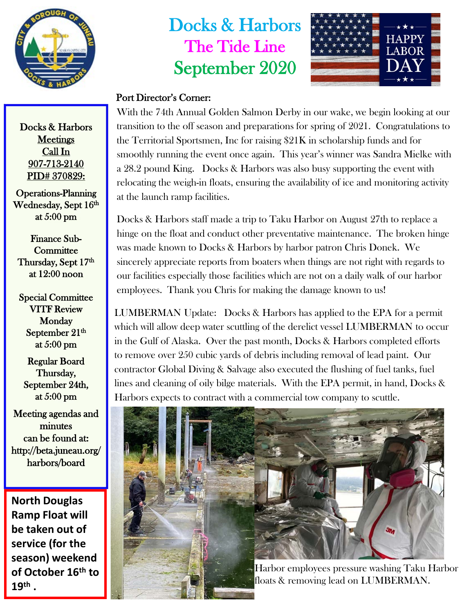

## Docks & Harbors The Tide Line September 2020



## Port Director's Corner:

With the 74th Annual Golden Salmon Derby in our wake, we begin looking at our transition to the off season and preparations for spring of 2021. Congratulations to the Territorial Sportsmen, Inc for raising \$21K in scholarship funds and for smoothly running the event once again. This year's winner was Sandra Mielke with a 28.2 pound King. Docks & Harbors was also busy supporting the event with relocating the weigh-in floats, ensuring the availability of ice and monitoring activity at the launch ramp facilities.

Docks & Harbors staff made a trip to Taku Harbor on August 27th to replace a hinge on the float and conduct other preventative maintenance. The broken hinge was made known to Docks & Harbors by harbor patron Chris Donek. We sincerely appreciate reports from boaters when things are not right with regards to our facilities especially those facilities which are not on a daily walk of our harbor employees. Thank you Chris for making the damage known to us!

LUMBERMAN Update: Docks & Harbors has applied to the EPA for a permit which will allow deep water scuttling of the derelict vessel LUMBERMAN to occur in the Gulf of Alaska. Over the past month, Docks & Harbors completed efforts to remove over 250 cubic yards of debris including removal of lead paint. Our contractor Global Diving & Salvage also executed the flushing of fuel tanks, fuel lines and cleaning of oily bilge materials. With the EPA permit, in hand, Docks & Harbors expects to contract with a commercial tow company to scuttle.





Harbor employees pressure washing Taku Harbor floats & removing lead on LUMBERMAN.

Docks & Harbors **Meetings** Call In 907-713-2140 PID# 370829:

Operations-Planning Wednesday, Sept 16th at 5:00 pm

Finance Sub-**Committee** Thursday, Sept 17th at 12:00 noon

Special Committee VITF Review Monday September 21<sup>th</sup> at 5:00 pm

Regular Board Thursday, September 24th, at 5:00 pm

Meeting agendas and minutes can be found at: http://beta.juneau.org/ harbors/board

**North Douglas Ramp Float will be taken out of service (for the season) weekend of October 16th to 19th .**